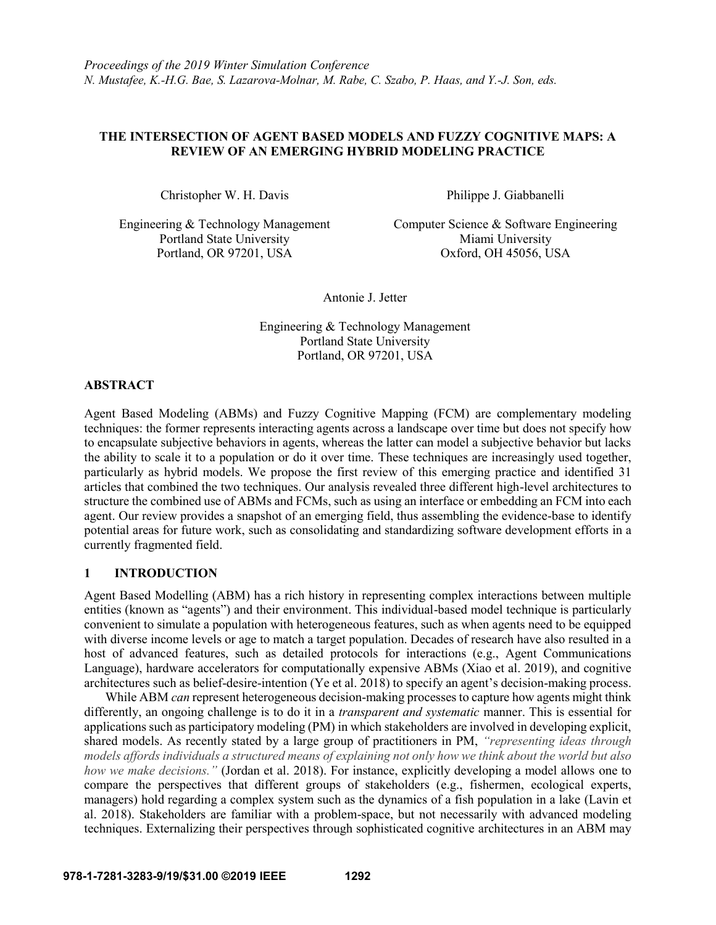# **THE INTERSECTION OF AGENT BASED MODELS AND FUZZY COGNITIVE MAPS: A REVIEW OF AN EMERGING HYBRID MODELING PRACTICE**

Christopher W. H. Davis Philippe J. Giabbanelli

Portland State University Miami University Portland, OR 97201, USA Oxford, OH 45056, USA

Engineering & Technology Management Computer Science & Software Engineering

Antonie J. Jetter

Engineering & Technology Management Portland State University Portland, OR 97201, USA

# **ABSTRACT**

Agent Based Modeling (ABMs) and Fuzzy Cognitive Mapping (FCM) are complementary modeling techniques: the former represents interacting agents across a landscape over time but does not specify how to encapsulate subjective behaviors in agents, whereas the latter can model a subjective behavior but lacks the ability to scale it to a population or do it over time. These techniques are increasingly used together, particularly as hybrid models. We propose the first review of this emerging practice and identified 31 articles that combined the two techniques. Our analysis revealed three different high-level architectures to structure the combined use of ABMs and FCMs, such as using an interface or embedding an FCM into each agent. Our review provides a snapshot of an emerging field, thus assembling the evidence-base to identify potential areas for future work, such as consolidating and standardizing software development efforts in a currently fragmented field.

# **1 INTRODUCTION**

Agent Based Modelling (ABM) has a rich history in representing complex interactions between multiple entities (known as "agents") and their environment. This individual-based model technique is particularly convenient to simulate a population with heterogeneous features, such as when agents need to be equipped with diverse income levels or age to match a target population. Decades of research have also resulted in a host of advanced features, such as detailed protocols for interactions (e.g., Agent Communications Language), hardware accelerators for computationally expensive ABMs (Xiao et al. 2019), and cognitive architectures such as belief-desire-intention (Ye et al. 2018) to specify an agent's decision-making process.

While ABM *can* represent heterogeneous decision-making processes to capture how agents might think differently, an ongoing challenge is to do it in a *transparent and systematic* manner. This is essential for applications such as participatory modeling (PM) in which stakeholders are involved in developing explicit, shared models. As recently stated by a large group of practitioners in PM, *"representing ideas through models affords individuals a structured means of explaining not only how we think about the world but also how we make decisions."* (Jordan et al. 2018). For instance, explicitly developing a model allows one to compare the perspectives that different groups of stakeholders (e.g., fishermen, ecological experts, managers) hold regarding a complex system such as the dynamics of a fish population in a lake (Lavin et al. 2018). Stakeholders are familiar with a problem-space, but not necessarily with advanced modeling techniques. Externalizing their perspectives through sophisticated cognitive architectures in an ABM may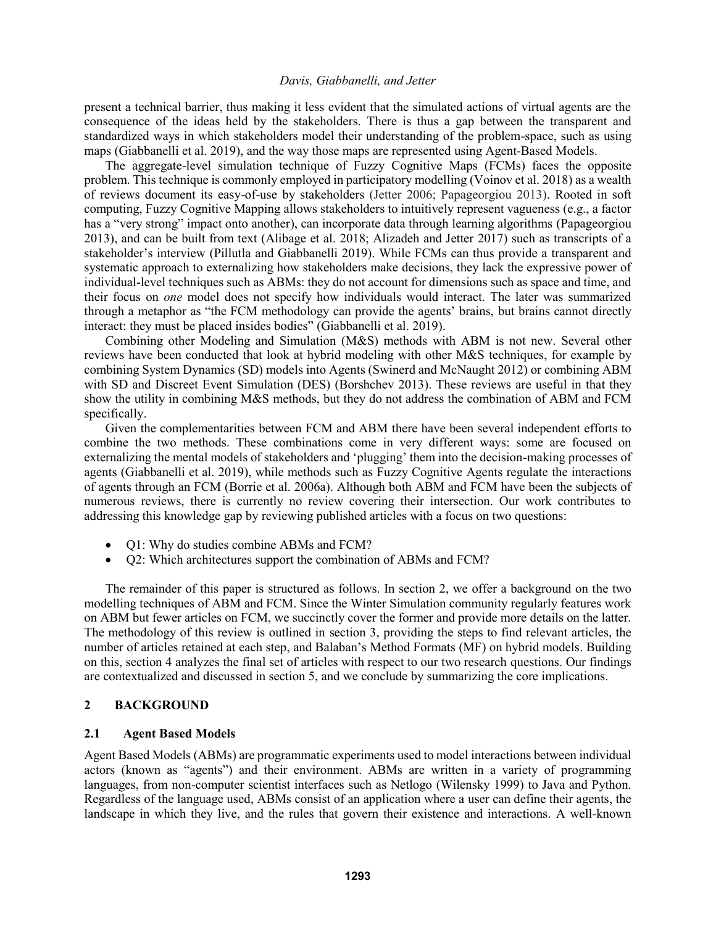present a technical barrier, thus making it less evident that the simulated actions of virtual agents are the consequence of the ideas held by the stakeholders. There is thus a gap between the transparent and standardized ways in which stakeholders model their understanding of the problem-space, such as using maps (Giabbanelli et al. 2019), and the way those maps are represented using Agent-Based Models.

The aggregate-level simulation technique of Fuzzy Cognitive Maps (FCMs) faces the opposite problem. This technique is commonly employed in participatory modelling (Voinov et al. 2018) as a wealth of reviews document its easy-of-use by stakeholders (Jetter 2006; Papageorgiou 2013). Rooted in soft computing, Fuzzy Cognitive Mapping allows stakeholders to intuitively represent vagueness (e.g., a factor has a "very strong" impact onto another), can incorporate data through learning algorithms (Papageorgiou 2013), and can be built from text (Alibage et al. 2018; Alizadeh and Jetter 2017) such as transcripts of a stakeholder's interview (Pillutla and Giabbanelli 2019). While FCMs can thus provide a transparent and systematic approach to externalizing how stakeholders make decisions, they lack the expressive power of individual-level techniques such as ABMs: they do not account for dimensions such as space and time, and their focus on *one* model does not specify how individuals would interact. The later was summarized through a metaphor as "the FCM methodology can provide the agents' brains, but brains cannot directly interact: they must be placed insides bodies" (Giabbanelli et al. 2019).

Combining other Modeling and Simulation (M&S) methods with ABM is not new. Several other reviews have been conducted that look at hybrid modeling with other M&S techniques, for example by combining System Dynamics (SD) models into Agents (Swinerd and McNaught 2012) or combining ABM with SD and Discreet Event Simulation (DES) (Borshchev 2013). These reviews are useful in that they show the utility in combining M&S methods, but they do not address the combination of ABM and FCM specifically.

Given the complementarities between FCM and ABM there have been several independent efforts to combine the two methods. These combinations come in very different ways: some are focused on externalizing the mental models of stakeholders and 'plugging' them into the decision-making processes of agents (Giabbanelli et al. 2019), while methods such as Fuzzy Cognitive Agents regulate the interactions of agents through an FCM (Borrie et al. 2006a). Although both ABM and FCM have been the subjects of numerous reviews, there is currently no review covering their intersection. Our work contributes to addressing this knowledge gap by reviewing published articles with a focus on two questions:

- Q1: Why do studies combine ABMs and FCM?
- Q2: Which architectures support the combination of ABMs and FCM?

The remainder of this paper is structured as follows. In section 2, we offer a background on the two modelling techniques of ABM and FCM. Since the Winter Simulation community regularly features work on ABM but fewer articles on FCM, we succinctly cover the former and provide more details on the latter. The methodology of this review is outlined in section 3, providing the steps to find relevant articles, the number of articles retained at each step, and Balaban's Method Formats (MF) on hybrid models. Building on this, section 4 analyzes the final set of articles with respect to our two research questions. Our findings are contextualized and discussed in section 5, and we conclude by summarizing the core implications.

### **2 BACKGROUND**

### **2.1 Agent Based Models**

Agent Based Models (ABMs) are programmatic experiments used to model interactions between individual actors (known as "agents") and their environment. ABMs are written in a variety of programming languages, from non-computer scientist interfaces such as Netlogo (Wilensky 1999) to Java and Python. Regardless of the language used, ABMs consist of an application where a user can define their agents, the landscape in which they live, and the rules that govern their existence and interactions. A well-known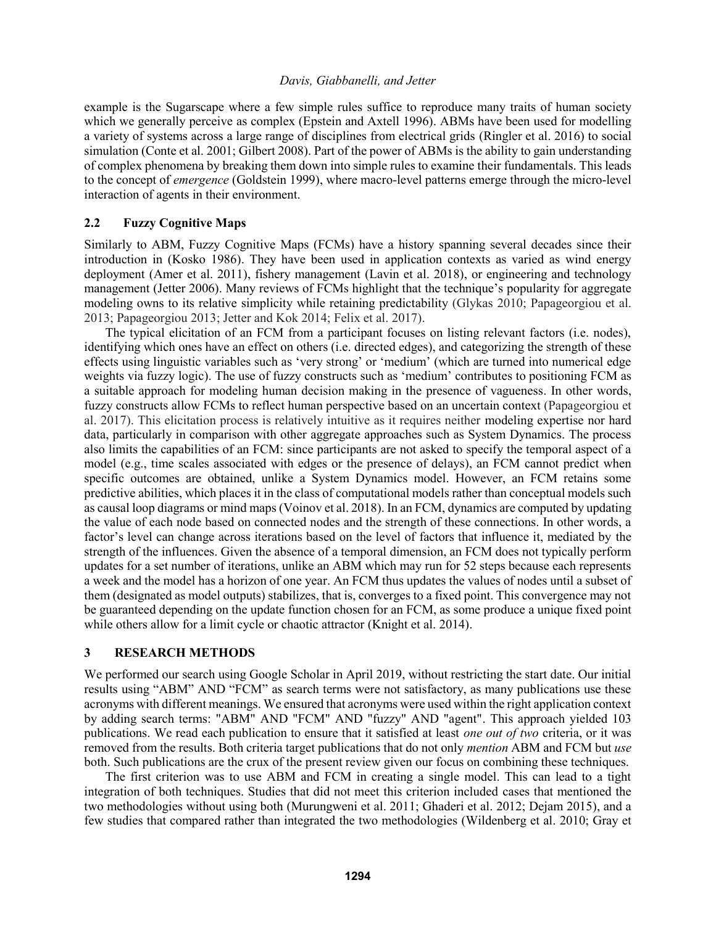example is the Sugarscape where a few simple rules suffice to reproduce many traits of human society which we generally perceive as complex (Epstein and Axtell 1996). ABMs have been used for modelling a variety of systems across a large range of disciplines from electrical grids (Ringler et al. 2016) to social simulation (Conte et al. 2001; Gilbert 2008). Part of the power of ABMs is the ability to gain understanding of complex phenomena by breaking them down into simple rules to examine their fundamentals. This leads to the concept of *emergence* (Goldstein 1999), where macro-level patterns emerge through the micro-level interaction of agents in their environment.

### **2.2 Fuzzy Cognitive Maps**

Similarly to ABM, Fuzzy Cognitive Maps (FCMs) have a history spanning several decades since their introduction in (Kosko 1986). They have been used in application contexts as varied as wind energy deployment (Amer et al. 2011), fishery management (Lavin et al. 2018), or engineering and technology management (Jetter 2006). Many reviews of FCMs highlight that the technique's popularity for aggregate modeling owns to its relative simplicity while retaining predictability (Glykas 2010; Papageorgiou et al. 2013; Papageorgiou 2013; Jetter and Kok 2014; Felix et al. 2017).

The typical elicitation of an FCM from a participant focuses on listing relevant factors (i.e. nodes), identifying which ones have an effect on others (i.e. directed edges), and categorizing the strength of these effects using linguistic variables such as 'very strong' or 'medium' (which are turned into numerical edge weights via fuzzy logic). The use of fuzzy constructs such as 'medium' contributes to positioning FCM as a suitable approach for modeling human decision making in the presence of vagueness. In other words, fuzzy constructs allow FCMs to reflect human perspective based on an uncertain context (Papageorgiou et al. 2017). This elicitation process is relatively intuitive as it requires neither modeling expertise nor hard data, particularly in comparison with other aggregate approaches such as System Dynamics. The process also limits the capabilities of an FCM: since participants are not asked to specify the temporal aspect of a model (e.g., time scales associated with edges or the presence of delays), an FCM cannot predict when specific outcomes are obtained, unlike a System Dynamics model. However, an FCM retains some predictive abilities, which places it in the class of computational models rather than conceptual models such as causal loop diagrams or mind maps (Voinov et al. 2018). In an FCM, dynamics are computed by updating the value of each node based on connected nodes and the strength of these connections. In other words, a factor's level can change across iterations based on the level of factors that influence it, mediated by the strength of the influences. Given the absence of a temporal dimension, an FCM does not typically perform updates for a set number of iterations, unlike an ABM which may run for 52 steps because each represents a week and the model has a horizon of one year. An FCM thus updates the values of nodes until a subset of them (designated as model outputs) stabilizes, that is, converges to a fixed point. This convergence may not be guaranteed depending on the update function chosen for an FCM, as some produce a unique fixed point while others allow for a limit cycle or chaotic attractor (Knight et al. 2014).

# **3 RESEARCH METHODS**

We performed our search using Google Scholar in April 2019, without restricting the start date. Our initial results using "ABM" AND "FCM" as search terms were not satisfactory, as many publications use these acronyms with different meanings. We ensured that acronyms were used within the right application context by adding search terms: "ABM" AND "FCM" AND "fuzzy" AND "agent". This approach yielded 103 publications. We read each publication to ensure that it satisfied at least *one out of two* criteria, or it was removed from the results. Both criteria target publications that do not only *mention* ABM and FCM but *use* both. Such publications are the crux of the present review given our focus on combining these techniques.

The first criterion was to use ABM and FCM in creating a single model. This can lead to a tight integration of both techniques. Studies that did not meet this criterion included cases that mentioned the two methodologies without using both (Murungweni et al. 2011; Ghaderi et al. 2012; Dejam 2015), and a few studies that compared rather than integrated the two methodologies (Wildenberg et al. 2010; Gray et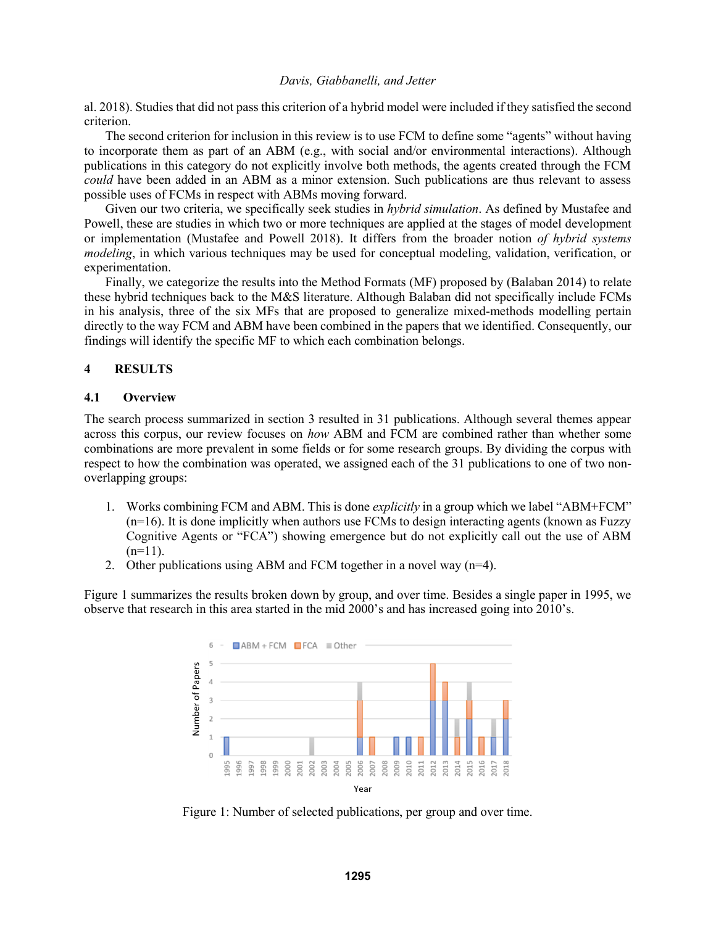al. 2018). Studies that did not pass this criterion of a hybrid model were included if they satisfied the second criterion.

The second criterion for inclusion in this review is to use FCM to define some "agents" without having to incorporate them as part of an ABM (e.g., with social and/or environmental interactions). Although publications in this category do not explicitly involve both methods, the agents created through the FCM *could* have been added in an ABM as a minor extension. Such publications are thus relevant to assess possible uses of FCMs in respect with ABMs moving forward.

Given our two criteria, we specifically seek studies in *hybrid simulation*. As defined by Mustafee and Powell, these are studies in which two or more techniques are applied at the stages of model development or implementation (Mustafee and Powell 2018). It differs from the broader notion *of hybrid systems modeling*, in which various techniques may be used for conceptual modeling, validation, verification, or experimentation.

Finally, we categorize the results into the Method Formats (MF) proposed by (Balaban 2014) to relate these hybrid techniques back to the M&S literature. Although Balaban did not specifically include FCMs in his analysis, three of the six MFs that are proposed to generalize mixed-methods modelling pertain directly to the way FCM and ABM have been combined in the papers that we identified. Consequently, our findings will identify the specific MF to which each combination belongs.

# **4 RESULTS**

### **4.1 Overview**

The search process summarized in section 3 resulted in 31 publications. Although several themes appear across this corpus, our review focuses on *how* ABM and FCM are combined rather than whether some combinations are more prevalent in some fields or for some research groups. By dividing the corpus with respect to how the combination was operated, we assigned each of the 31 publications to one of two nonoverlapping groups:

- 1. Works combining FCM and ABM. This is done *explicitly* in a group which we label "ABM+FCM" (n=16). It is done implicitly when authors use FCMs to design interacting agents (known as Fuzzy Cognitive Agents or "FCA") showing emergence but do not explicitly call out the use of ABM  $(n=11)$ .
- 2. Other publications using ABM and FCM together in a novel way (n=4).

Figure 1 summarizes the results broken down by group, and over time. Besides a single paper in 1995, we observe that research in this area started in the mid 2000's and has increased going into 2010's.



Figure 1: Number of selected publications, per group and over time.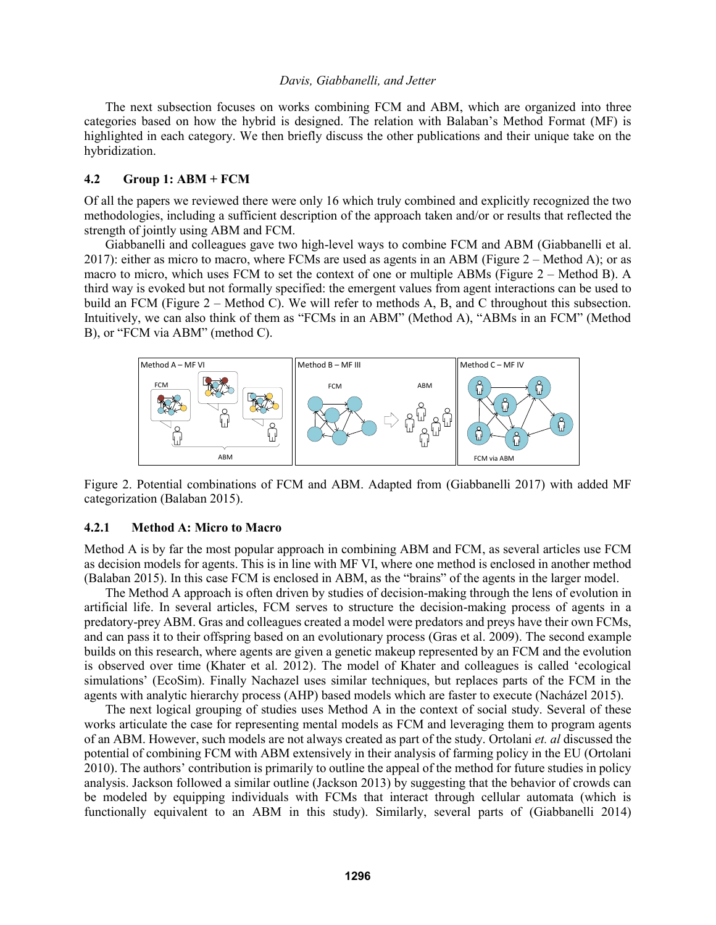The next subsection focuses on works combining FCM and ABM, which are organized into three categories based on how the hybrid is designed. The relation with Balaban's Method Format (MF) is highlighted in each category. We then briefly discuss the other publications and their unique take on the hybridization.

# **4.2 Group 1: ABM + FCM**

Of all the papers we reviewed there were only 16 which truly combined and explicitly recognized the two methodologies, including a sufficient description of the approach taken and/or or results that reflected the strength of jointly using ABM and FCM.

Giabbanelli and colleagues gave two high-level ways to combine FCM and ABM (Giabbanelli et al. 2017): either as micro to macro, where FCMs are used as agents in an ABM (Figure 2 – Method A); or as macro to micro, which uses FCM to set the context of one or multiple ABMs (Figure 2 – Method B). A third way is evoked but not formally specified: the emergent values from agent interactions can be used to build an FCM (Figure 2 – Method C). We will refer to methods A, B, and C throughout this subsection. Intuitively, we can also think of them as "FCMs in an ABM" (Method A), "ABMs in an FCM" (Method B), or "FCM via ABM" (method C).



Figure 2. Potential combinations of FCM and ABM. Adapted from (Giabbanelli 2017) with added MF categorization (Balaban 2015).

#### **4.2.1 Method A: Micro to Macro**

Method A is by far the most popular approach in combining ABM and FCM, as several articles use FCM as decision models for agents. This is in line with MF VI, where one method is enclosed in another method (Balaban 2015). In this case FCM is enclosed in ABM, as the "brains" of the agents in the larger model.

The Method A approach is often driven by studies of decision-making through the lens of evolution in artificial life. In several articles, FCM serves to structure the decision-making process of agents in a predatory-prey ABM. Gras and colleagues created a model were predators and preys have their own FCMs, and can pass it to their offspring based on an evolutionary process (Gras et al. 2009). The second example builds on this research, where agents are given a genetic makeup represented by an FCM and the evolution is observed over time (Khater et al. 2012). The model of Khater and colleagues is called 'ecological simulations' (EcoSim). Finally Nachazel uses similar techniques, but replaces parts of the FCM in the agents with analytic hierarchy process (AHP) based models which are faster to execute (Nacházel 2015).

The next logical grouping of studies uses Method A in the context of social study. Several of these works articulate the case for representing mental models as FCM and leveraging them to program agents of an ABM. However, such models are not always created as part of the study. Ortolani *et. al* discussed the potential of combining FCM with ABM extensively in their analysis of farming policy in the EU (Ortolani 2010). The authors' contribution is primarily to outline the appeal of the method for future studies in policy analysis. Jackson followed a similar outline (Jackson 2013) by suggesting that the behavior of crowds can be modeled by equipping individuals with FCMs that interact through cellular automata (which is functionally equivalent to an ABM in this study). Similarly, several parts of (Giabbanelli 2014)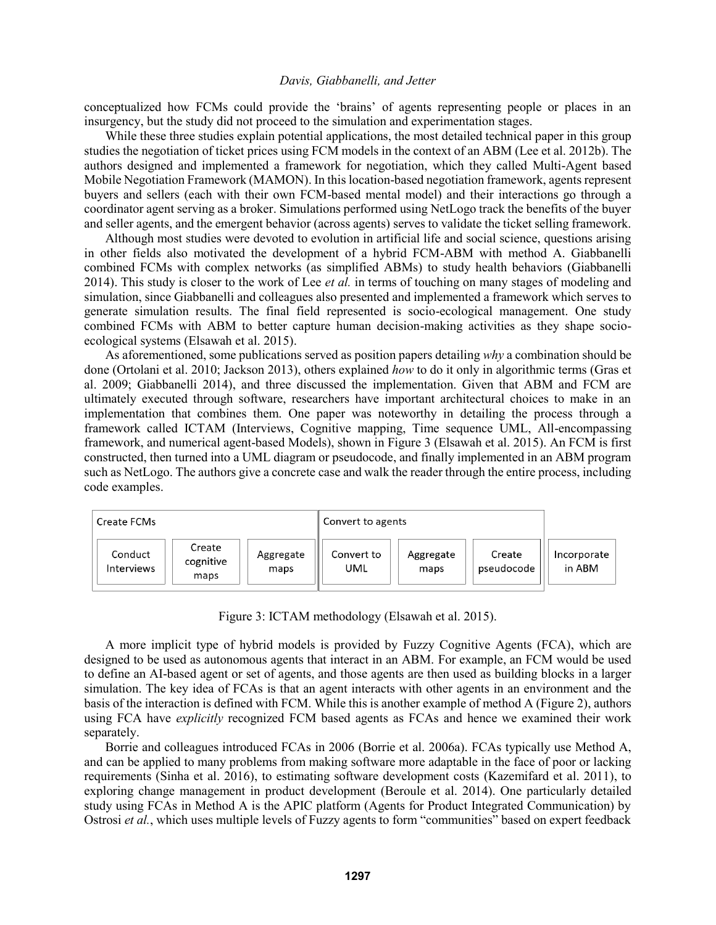conceptualized how FCMs could provide the 'brains' of agents representing people or places in an insurgency, but the study did not proceed to the simulation and experimentation stages.

While these three studies explain potential applications, the most detailed technical paper in this group studies the negotiation of ticket prices using FCM models in the context of an ABM (Lee et al. 2012b). The authors designed and implemented a framework for negotiation, which they called Multi-Agent based Mobile Negotiation Framework (MAMON). In this location-based negotiation framework, agents represent buyers and sellers (each with their own FCM-based mental model) and their interactions go through a coordinator agent serving as a broker. Simulations performed using NetLogo track the benefits of the buyer and seller agents, and the emergent behavior (across agents) serves to validate the ticket selling framework.

Although most studies were devoted to evolution in artificial life and social science, questions arising in other fields also motivated the development of a hybrid FCM-ABM with method A. Giabbanelli combined FCMs with complex networks (as simplified ABMs) to study health behaviors (Giabbanelli 2014). This study is closer to the work of Lee *et al.* in terms of touching on many stages of modeling and simulation, since Giabbanelli and colleagues also presented and implemented a framework which serves to generate simulation results. The final field represented is socio-ecological management. One study combined FCMs with ABM to better capture human decision-making activities as they shape socioecological systems (Elsawah et al. 2015).

As aforementioned, some publications served as position papers detailing *why* a combination should be done (Ortolani et al. 2010; Jackson 2013), others explained *how* to do it only in algorithmic terms (Gras et al. 2009; Giabbanelli 2014), and three discussed the implementation. Given that ABM and FCM are ultimately executed through software, researchers have important architectural choices to make in an implementation that combines them. One paper was noteworthy in detailing the process through a framework called ICTAM (Interviews, Cognitive mapping, Time sequence UML, All-encompassing framework, and numerical agent-based Models), shown in Figure 3 (Elsawah et al. 2015). An FCM is first constructed, then turned into a UML diagram or pseudocode, and finally implemented in an ABM program such as NetLogo. The authors give a concrete case and walk the reader through the entire process, including code examples.

| Create FCMs                                                 |                   | Convert to agents |                   |                      |                       |
|-------------------------------------------------------------|-------------------|-------------------|-------------------|----------------------|-----------------------|
| Create<br>Conduct<br>cognitive<br><b>Interviews</b><br>maps | Aggregate<br>maps | Convert to<br>UML | Aggregate<br>maps | Create<br>pseudocode | Incorporate<br>in ABM |

Figure 3: ICTAM methodology (Elsawah et al. 2015).

A more implicit type of hybrid models is provided by Fuzzy Cognitive Agents (FCA), which are designed to be used as autonomous agents that interact in an ABM. For example, an FCM would be used to define an AI-based agent or set of agents, and those agents are then used as building blocks in a larger simulation. The key idea of FCAs is that an agent interacts with other agents in an environment and the basis of the interaction is defined with FCM. While this is another example of method A (Figure 2), authors using FCA have *explicitly* recognized FCM based agents as FCAs and hence we examined their work separately.

Borrie and colleagues introduced FCAs in 2006 (Borrie et al. 2006a). FCAs typically use Method A, and can be applied to many problems from making software more adaptable in the face of poor or lacking requirements (Sinha et al. 2016), to estimating software development costs (Kazemifard et al. 2011), to exploring change management in product development (Beroule et al. 2014). One particularly detailed study using FCAs in Method A is the APIC platform (Agents for Product Integrated Communication) by Ostrosi *et al.*, which uses multiple levels of Fuzzy agents to form "communities" based on expert feedback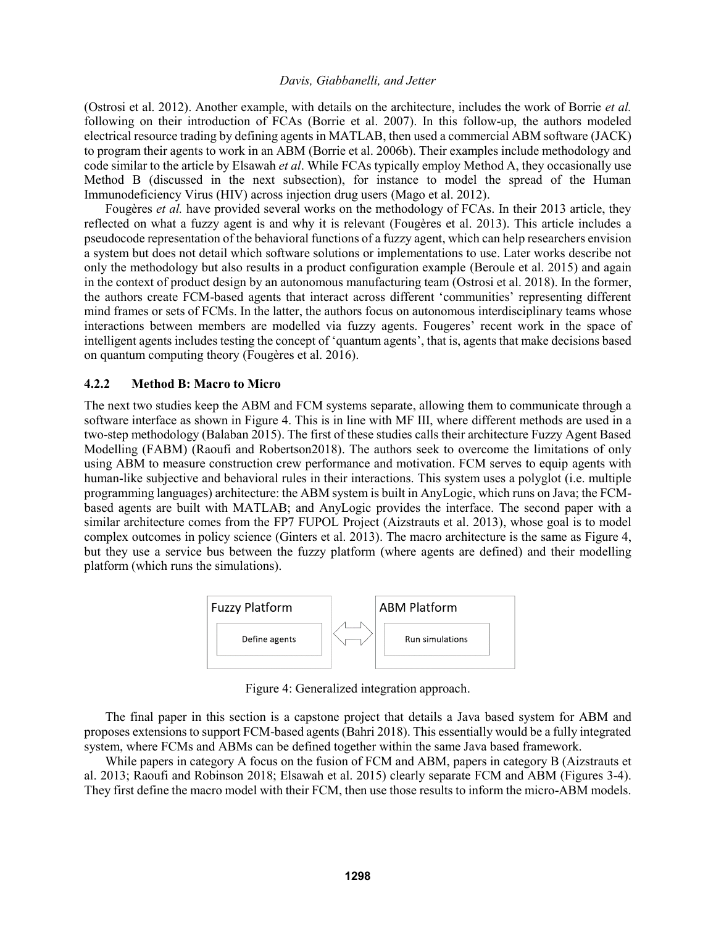(Ostrosi et al. 2012). Another example, with details on the architecture, includes the work of Borrie *et al.* following on their introduction of FCAs (Borrie et al. 2007). In this follow-up, the authors modeled electrical resource trading by defining agents in MATLAB, then used a commercial ABM software (JACK) to program their agents to work in an ABM (Borrie et al. 2006b). Their examples include methodology and code similar to the article by Elsawah *et al*. While FCAs typically employ Method A, they occasionally use Method B (discussed in the next subsection), for instance to model the spread of the Human Immunodeficiency Virus (HIV) across injection drug users (Mago et al. 2012).

Fougères *et al.* have provided several works on the methodology of FCAs. In their 2013 article, they reflected on what a fuzzy agent is and why it is relevant (Fougères et al. 2013). This article includes a pseudocode representation of the behavioral functions of a fuzzy agent, which can help researchers envision a system but does not detail which software solutions or implementations to use. Later works describe not only the methodology but also results in a product configuration example (Beroule et al. 2015) and again in the context of product design by an autonomous manufacturing team (Ostrosi et al. 2018). In the former, the authors create FCM-based agents that interact across different 'communities' representing different mind frames or sets of FCMs. In the latter, the authors focus on autonomous interdisciplinary teams whose interactions between members are modelled via fuzzy agents. Fougeres' recent work in the space of intelligent agents includes testing the concept of 'quantum agents', that is, agents that make decisions based on quantum computing theory (Fougères et al. 2016).

### **4.2.2 Method B: Macro to Micro**

The next two studies keep the ABM and FCM systems separate, allowing them to communicate through a software interface as shown in Figure 4. This is in line with MF III, where different methods are used in a two-step methodology (Balaban 2015). The first of these studies calls their architecture Fuzzy Agent Based Modelling (FABM) (Raoufi and Robertson2018). The authors seek to overcome the limitations of only using ABM to measure construction crew performance and motivation. FCM serves to equip agents with human-like subjective and behavioral rules in their interactions. This system uses a polyglot (i.e. multiple programming languages) architecture: the ABM system is built in AnyLogic, which runs on Java; the FCMbased agents are built with MATLAB; and AnyLogic provides the interface. The second paper with a similar architecture comes from the FP7 FUPOL Project (Aizstrauts et al. 2013), whose goal is to model complex outcomes in policy science (Ginters et al. 2013). The macro architecture is the same as Figure 4, but they use a service bus between the fuzzy platform (where agents are defined) and their modelling platform (which runs the simulations).



Figure 4: Generalized integration approach.

The final paper in this section is a capstone project that details a Java based system for ABM and proposes extensions to support FCM-based agents (Bahri 2018). This essentially would be a fully integrated system, where FCMs and ABMs can be defined together within the same Java based framework.

While papers in category A focus on the fusion of FCM and ABM, papers in category B (Aizstrauts et al. 2013; Raoufi and Robinson 2018; Elsawah et al. 2015) clearly separate FCM and ABM (Figures 3-4). They first define the macro model with their FCM, then use those results to inform the micro-ABM models.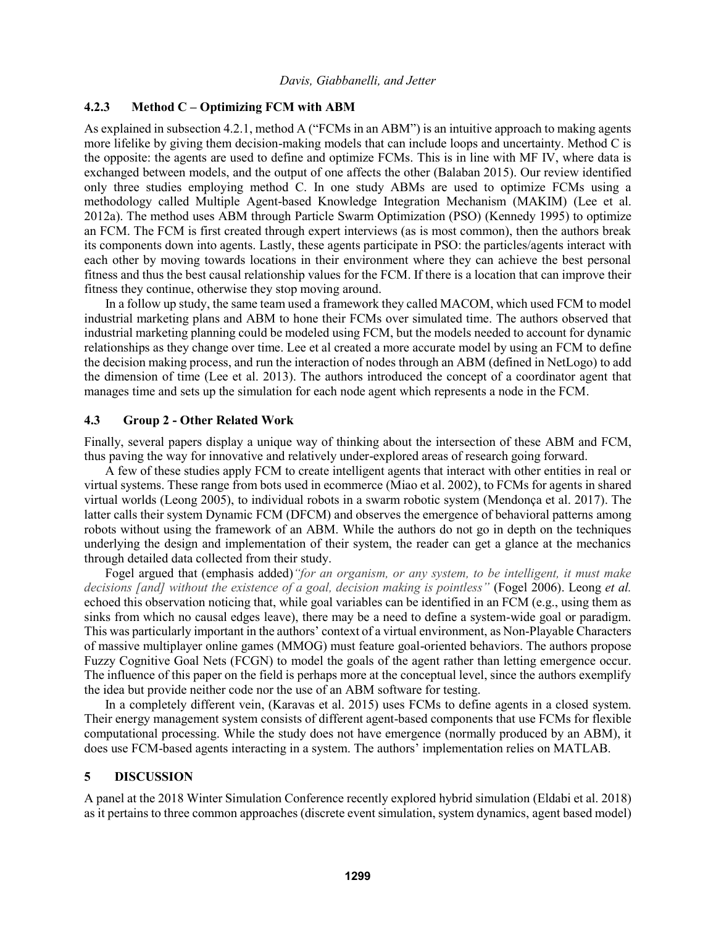# **4.2.3 Method C – Optimizing FCM with ABM**

As explained in subsection 4.2.1, method A ("FCMs in an ABM") is an intuitive approach to making agents more lifelike by giving them decision-making models that can include loops and uncertainty. Method C is the opposite: the agents are used to define and optimize FCMs. This is in line with MF IV, where data is exchanged between models, and the output of one affects the other (Balaban 2015). Our review identified only three studies employing method C. In one study ABMs are used to optimize FCMs using a methodology called Multiple Agent-based Knowledge Integration Mechanism (MAKIM) (Lee et al. 2012a). The method uses ABM through Particle Swarm Optimization (PSO) (Kennedy 1995) to optimize an FCM. The FCM is first created through expert interviews (as is most common), then the authors break its components down into agents. Lastly, these agents participate in PSO: the particles/agents interact with each other by moving towards locations in their environment where they can achieve the best personal fitness and thus the best causal relationship values for the FCM. If there is a location that can improve their fitness they continue, otherwise they stop moving around.

In a follow up study, the same team used a framework they called MACOM, which used FCM to model industrial marketing plans and ABM to hone their FCMs over simulated time. The authors observed that industrial marketing planning could be modeled using FCM, but the models needed to account for dynamic relationships as they change over time. Lee et al created a more accurate model by using an FCM to define the decision making process, and run the interaction of nodes through an ABM (defined in NetLogo) to add the dimension of time (Lee et al. 2013). The authors introduced the concept of a coordinator agent that manages time and sets up the simulation for each node agent which represents a node in the FCM.

# **4.3 Group 2 - Other Related Work**

Finally, several papers display a unique way of thinking about the intersection of these ABM and FCM, thus paving the way for innovative and relatively under-explored areas of research going forward.

A few of these studies apply FCM to create intelligent agents that interact with other entities in real or virtual systems. These range from bots used in ecommerce (Miao et al. 2002), to FCMs for agents in shared virtual worlds (Leong 2005), to individual robots in a swarm robotic system (Mendonça et al. 2017). The latter calls their system Dynamic FCM (DFCM) and observes the emergence of behavioral patterns among robots without using the framework of an ABM. While the authors do not go in depth on the techniques underlying the design and implementation of their system, the reader can get a glance at the mechanics through detailed data collected from their study.

Fogel argued that (emphasis added)*"for an organism, or any system, to be intelligent, it must make decisions [and] without the existence of a goal, decision making is pointless"* (Fogel 2006). Leong *et al.* echoed this observation noticing that, while goal variables can be identified in an FCM (e.g., using them as sinks from which no causal edges leave), there may be a need to define a system-wide goal or paradigm. This was particularly important in the authors' context of a virtual environment, as Non-Playable Characters of massive multiplayer online games (MMOG) must feature goal-oriented behaviors. The authors propose Fuzzy Cognitive Goal Nets (FCGN) to model the goals of the agent rather than letting emergence occur. The influence of this paper on the field is perhaps more at the conceptual level, since the authors exemplify the idea but provide neither code nor the use of an ABM software for testing.

In a completely different vein, (Karavas et al. 2015) uses FCMs to define agents in a closed system. Their energy management system consists of different agent-based components that use FCMs for flexible computational processing. While the study does not have emergence (normally produced by an ABM), it does use FCM-based agents interacting in a system. The authors' implementation relies on MATLAB.

# **5 DISCUSSION**

A panel at the 2018 Winter Simulation Conference recently explored hybrid simulation (Eldabi et al. 2018) as it pertains to three common approaches (discrete event simulation, system dynamics, agent based model)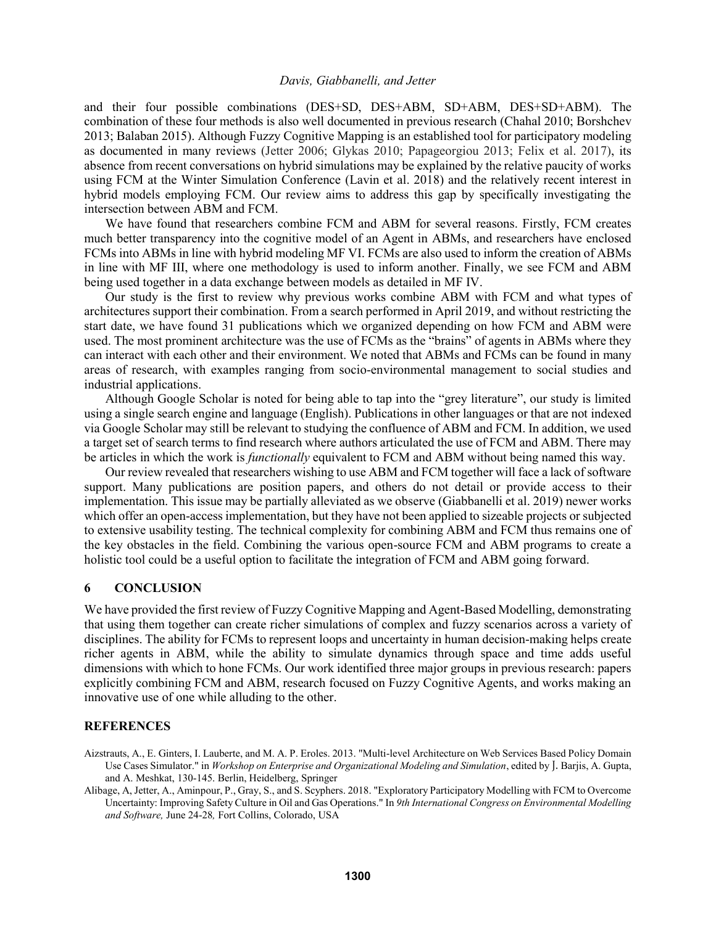and their four possible combinations (DES+SD, DES+ABM, SD+ABM, DES+SD+ABM). The combination of these four methods is also well documented in previous research (Chahal 2010; Borshchev 2013; Balaban 2015). Although Fuzzy Cognitive Mapping is an established tool for participatory modeling as documented in many reviews (Jetter 2006; Glykas 2010; Papageorgiou 2013; Felix et al. 2017), its absence from recent conversations on hybrid simulations may be explained by the relative paucity of works using FCM at the Winter Simulation Conference (Lavin et al. 2018) and the relatively recent interest in hybrid models employing FCM. Our review aims to address this gap by specifically investigating the intersection between ABM and FCM.

We have found that researchers combine FCM and ABM for several reasons. Firstly, FCM creates much better transparency into the cognitive model of an Agent in ABMs, and researchers have enclosed FCMs into ABMs in line with hybrid modeling MF VI. FCMs are also used to inform the creation of ABMs in line with MF III, where one methodology is used to inform another. Finally, we see FCM and ABM being used together in a data exchange between models as detailed in MF IV.

Our study is the first to review why previous works combine ABM with FCM and what types of architectures support their combination. From a search performed in April 2019, and without restricting the start date, we have found 31 publications which we organized depending on how FCM and ABM were used. The most prominent architecture was the use of FCMs as the "brains" of agents in ABMs where they can interact with each other and their environment. We noted that ABMs and FCMs can be found in many areas of research, with examples ranging from socio-environmental management to social studies and industrial applications.

Although Google Scholar is noted for being able to tap into the "grey literature", our study is limited using a single search engine and language (English). Publications in other languages or that are not indexed via Google Scholar may still be relevant to studying the confluence of ABM and FCM. In addition, we used a target set of search terms to find research where authors articulated the use of FCM and ABM. There may be articles in which the work is *functionally* equivalent to FCM and ABM without being named this way.

Our review revealed that researchers wishing to use ABM and FCM together will face a lack of software support. Many publications are position papers, and others do not detail or provide access to their implementation. This issue may be partially alleviated as we observe (Giabbanelli et al. 2019) newer works which offer an open-access implementation, but they have not been applied to sizeable projects or subjected to extensive usability testing. The technical complexity for combining ABM and FCM thus remains one of the key obstacles in the field. Combining the various open-source FCM and ABM programs to create a holistic tool could be a useful option to facilitate the integration of FCM and ABM going forward.

#### **6 CONCLUSION**

We have provided the first review of Fuzzy Cognitive Mapping and Agent-Based Modelling, demonstrating that using them together can create richer simulations of complex and fuzzy scenarios across a variety of disciplines. The ability for FCMs to represent loops and uncertainty in human decision-making helps create richer agents in ABM, while the ability to simulate dynamics through space and time adds useful dimensions with which to hone FCMs. Our work identified three major groups in previous research: papers explicitly combining FCM and ABM, research focused on Fuzzy Cognitive Agents, and works making an innovative use of one while alluding to the other.

# **REFERENCES**

Aizstrauts, A., E. Ginters, I. Lauberte, and M. A. P. Eroles. 2013. "Multi-level Architecture on Web Services Based Policy Domain Use Cases Simulator." in *Workshop on Enterprise and Organizational Modeling and Simulation*, edited by J. Barjis, A. Gupta, and A. Meshkat, 130-145. Berlin, Heidelberg, Springer

Alibage, A, Jetter, A., Aminpour, P., Gray, S., and S. Scyphers. 2018. "Exploratory Participatory Modelling with FCM to Overcome Uncertainty: Improving Safety Culture in Oil and Gas Operations." In *9th International Congress on Environmental Modelling and Software,* June 24-28*,* Fort Collins, Colorado, USA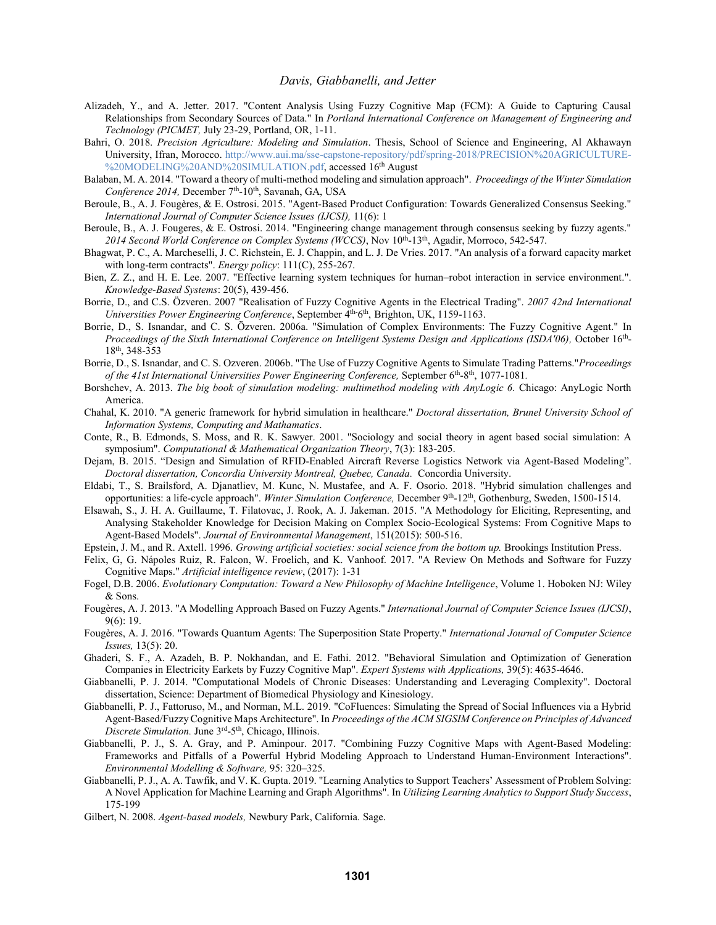- Alizadeh, Y., and A. Jetter. 2017. "Content Analysis Using Fuzzy Cognitive Map (FCM): A Guide to Capturing Causal Relationships from Secondary Sources of Data." In *Portland International Conference on Management of Engineering and Technology (PICMET,* July 23-29, Portland, OR, 1-11.
- Bahri, O. 2018. *Precision Agriculture: Modeling and Simulation*. Thesis, School of Science and Engineering, Al Akhawayn University, Ifran, Morocco. [http://www.aui.ma/sse-capstone-repository/pdf/spring-2018/PRECISION%20AGRICULTURE-](http://www.aui.ma/sse-capstone-repository/pdf/spring-2018/PRECISION%20AGRICULTURE-%20MODELING%20AND%20SIMULATION.pdf) [%20MODELING%20AND%20SIMULATION.pdf,](http://www.aui.ma/sse-capstone-repository/pdf/spring-2018/PRECISION%20AGRICULTURE-%20MODELING%20AND%20SIMULATION.pdf) accessed 16<sup>th</sup> August
- Balaban, M. A. 2014. "Toward a theory of multi-method modeling and simulation approach". *[Proceedings of the Winter Simulation](https://ieeexplore.ieee.org/xpl/conhome/7002492/proceeding)*  [Conference 2014,](https://ieeexplore.ieee.org/xpl/conhome/7002492/proceeding) December 7<sup>th</sup>-10<sup>th</sup>, Savanah, GA, USA
- Beroule, B., A. J. Fougères, & E. Ostrosi. 2015. "Agent-Based Product Configuration: Towards Generalized Consensus Seeking." *International Journal of Computer Science Issues (IJCSI),* 11(6): 1
- Beroule, B., A. J. Fougeres, & E. Ostrosi. 2014. "Engineering change management through consensus seeking by fuzzy agents." 2014 Second World Conference on Complex Systems (WCCS), Nov 10<sup>th</sup>-13<sup>th</sup>, Agadir, Morroco, 542-547.
- Bhagwat, P. C., A. Marcheselli, J. C. Richstein, E. J. Chappin, and L. J. De Vries. 2017. "An analysis of a forward capacity market with long-term contracts". *Energy policy*: 111(C), 255-267.
- Bien, Z. Z., and H. E. Lee. 2007. "Effective learning system techniques for human–robot interaction in service environment.". *Knowledge-Based Systems*: 20(5), 439-456.
- Borrie, D., and C.S. Özveren. 2007 "Realisation of Fuzzy Cognitive Agents in the Electrical Trading". *2007 42nd International*  Universities Power Engineering Conference, September 4<sup>th-6th</sup>, Brighton, UK, 1159-1163.
- Borrie, D., S. Isnandar, and C. S. Özveren. 2006a. "Simulation of Complex Environments: The Fuzzy Cognitive Agent." In Proceedings of the Sixth International Conference on Intelligent Systems Design and Applications (ISDA'06), October 16<sup>th</sup>-18th , 348-353
- Borrie, D., S. Isnandar, and C. S. Ozveren. 2006b. "The Use of Fuzzy Cognitive Agents to Simulate Trading Patterns."*Proceedings*  of the 41st International Universities Power Engineering Conference, September 6<sup>th</sup>-8<sup>th</sup>, 1077-1081.
- Borshchev, A. 2013. *The big book of simulation modeling: multimethod modeling with AnyLogic 6.* Chicago: AnyLogic North America.
- Chahal, K. 2010. "A generic framework for hybrid simulation in healthcare." *Doctoral dissertation, Brunel University School of Information Systems, Computing and Mathamatics*.
- Conte, R., B. Edmonds, S. Moss, and R. K. Sawyer. 2001. "Sociology and social theory in agent based social simulation: A symposium". *Computational & Mathematical Organization Theory*, 7(3): 183-205.
- Dejam, B. 2015. "Design and Simulation of RFID-Enabled Aircraft Reverse Logistics Network via Agent-Based Modeling". *Doctoral dissertation, Concordia University Montreal, Quebec, Canada.* Concordia University.
- Eldabi, T., S. Brailsford, A. Djanatliev, M. Kunc, N. Mustafee, and A. F. Osorio. 2018. "Hybrid simulation challenges and opportunities: a life-cycle approach". Winter Simulation Conference, December 9<sup>th</sup>-12<sup>th</sup>, Gothenburg, Sweden, 1500-1514.
- Elsawah, S., J. H. A. Guillaume, T. Filatovac, J. Rook, A. J. Jakeman. 2015. "A Methodology for Eliciting, Representing, and Analysing Stakeholder Knowledge for Decision Making on Complex Socio-Ecological Systems: From Cognitive Maps to Agent-Based Models". *Journal of Environmental Management*, 151(2015): 500-516.
- Epstein, J. M., and R. Axtell. 1996. *Growing artificial societies: social science from the bottom up.* Brookings Institution Press.
- Felix, G, G. Nápoles Ruiz, R. Falcon, W. Froelich, and K. Vanhoof. 2017. "A Review On Methods and Software for Fuzzy Cognitive Maps." *Artificial intelligence review*, (2017): 1-31
- Fogel, D.B. 2006. *Evolutionary Computation: Toward a New Philosophy of Machine Intelligence*, Volume 1. Hoboken NJ: Wiley & Sons.
- Fougères, A. J. 2013. "A Modelling Approach Based on Fuzzy Agents." *International Journal of Computer Science Issues (IJCSI)*, 9(6): 19.
- Fougères, A. J. 2016. "Towards Quantum Agents: The Superposition State Property." *International Journal of Computer Science Issues,* 13(5): 20.
- Ghaderi, S. F., A. Azadeh, B. P. Nokhandan, and E. Fathi. 2012. "Behavioral Simulation and Optimization of Generation Companies in Electricity Earkets by Fuzzy Cognitive Map". *Expert Systems with Applications,* 39(5): 4635-4646.
- Giabbanelli, P. J. 2014. "Computational Models of Chronic Diseases: Understanding and Leveraging Complexity". Doctoral dissertation, Science: Department of Biomedical Physiology and Kinesiology.
- Giabbanelli, P. J., Fattoruso, M., and Norman, M.L. 2019. "CoFluences: Simulating the Spread of Social Influences via a Hybrid Agent-Based/Fuzzy Cognitive Maps Architecture". In *Proceedings of the ACM SIGSIM Conference on Principles of Advanced*  Discrete Simulation. June 3<sup>rd</sup>-5<sup>th</sup>, Chicago, Illinois.
- Giabbanelli, P. J., S. A. Gray, and P. Aminpour. 2017. "Combining Fuzzy Cognitive Maps with Agent-Based Modeling: Frameworks and Pitfalls of a Powerful Hybrid Modeling Approach to Understand Human-Environment Interactions". *Environmental Modelling & Software,* 95: 320–325.
- Giabbanelli, P. J., A. A. Tawfik, and V. K. Gupta. 2019. "Learning Analytics to Support Teachers' Assessment of Problem Solving: A Novel Application for Machine Learning and Graph Algorithms". In *Utilizing Learning Analytics to Support Study Success*, 175-199
- Gilbert, N. 2008. *Agent-based models,* Newbury Park, California*.* Sage.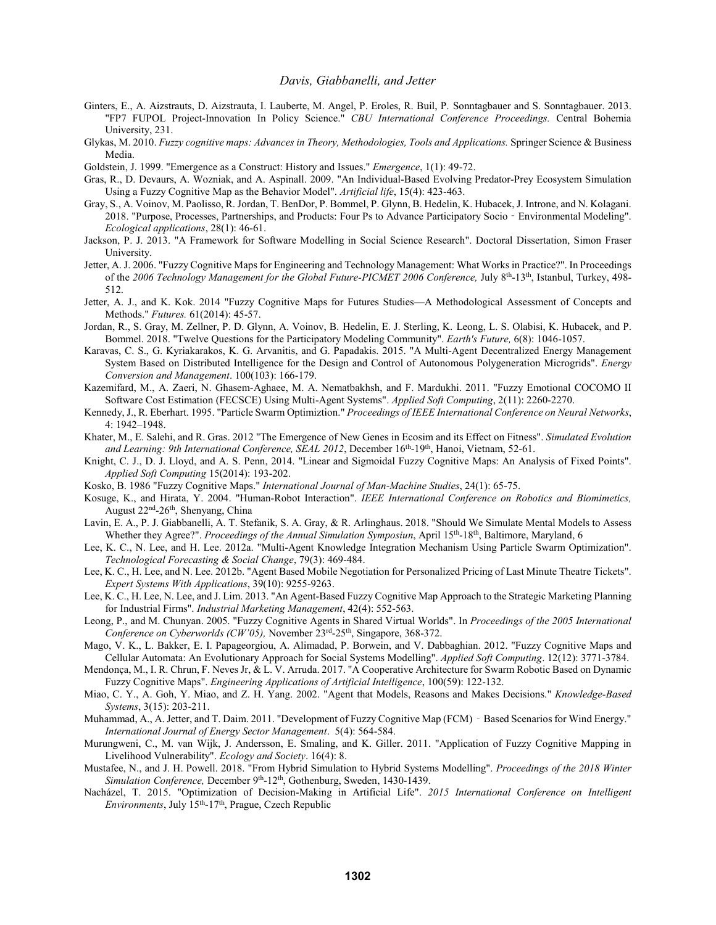- Ginters, E., A. Aizstrauts, D. Aizstrauta, I. Lauberte, M. Angel, P. Eroles, R. Buil, P. Sonntagbauer and S. Sonntagbauer. 2013. "FP7 FUPOL Project-Innovation In Policy Science." *CBU International Conference Proceedings.* Central Bohemia University, 231.
- Glykas, M. 2010. *Fuzzy cognitive maps: Advances in Theory, Methodologies, Tools and Applications.* Springer Science & Business Media.
- Goldstein, J. 1999. "Emergence as a Construct: History and Issues." *Emergence*, 1(1): 49-72.
- Gras, R., D. Devaurs, A. Wozniak, and A. Aspinall. 2009. "An Individual-Based Evolving Predator-Prey Ecosystem Simulation Using a Fuzzy Cognitive Map as the Behavior Model". *Artificial life*, 15(4): 423-463.
- Gray, S., A. Voinov, M. Paolisso, R. Jordan, T. BenDor, P. Bommel, P. Glynn, B. Hedelin, K. Hubacek, J. Introne, and N. Kolagani. 2018. "Purpose, Processes, Partnerships, and Products: Four Ps to Advance Participatory Socio‐Environmental Modeling". *Ecological applications*, 28(1): 46-61.
- Jackson, P. J. 2013. "A Framework for Software Modelling in Social Science Research". Doctoral Dissertation, Simon Fraser University.
- Jetter, A. J. 2006. "Fuzzy Cognitive Maps for Engineering and Technology Management: What Works in Practice?". In Proceedings of the 2006 Technology Management for the Global Future-PICMET 2006 Conference, July 8<sup>th</sup>-13<sup>th</sup>, Istanbul, Turkey, 498-512.
- Jetter, A. J., and K. Kok. 2014 "Fuzzy Cognitive Maps for Futures Studies—A Methodological Assessment of Concepts and Methods." *Futures.* 61(2014): 45-57.
- Jordan, R., S. Gray, M. Zellner, P. D. Glynn, A. Voinov, B. Hedelin, E. J. Sterling, K. Leong, L. S. Olabisi, K. Hubacek, and P. Bommel. 2018. "Twelve Questions for the Participatory Modeling Community". *Earth's Future,* 6(8): 1046-1057.
- Karavas, C. S., G. Kyriakarakos, K. G. Arvanitis, and G. Papadakis. 2015. "A Multi-Agent Decentralized Energy Management System Based on Distributed Intelligence for the Design and Control of Autonomous Polygeneration Microgrids". *Energy Conversion and Management*. 100(103): 166-179.
- Kazemifard, M., A. Zaeri, N. Ghasem-Aghaee, M. A. Nematbakhsh, and F. Mardukhi. 2011. "Fuzzy Emotional COCOMO II Software Cost Estimation (FECSCE) Using Multi-Agent Systems". *Applied Soft Computing*, 2(11): 2260-2270.
- Kennedy, J., R. Eberhart. 1995. "Particle Swarm Optimiztion." *Proceedings of IEEE International Conference on Neural Networks*, 4: 1942–1948.
- Khater, M., E. Salehi, and R. Gras. 2012 "The Emergence of New Genes in Ecosim and its Effect on Fitness". *Simulated Evolution*  and Learning: 9th International Conference, SEAL 2012, December 16<sup>th</sup>-19<sup>th</sup>, Hanoi, Vietnam, 52-61.
- Knight, C. J., D. J. Lloyd, and A. S. Penn, 2014. "Linear and Sigmoidal Fuzzy Cognitive Maps: An Analysis of Fixed Points". *Applied Soft Computing* 15(2014): 193-202.
- Kosko, B. 1986 "Fuzzy Cognitive Maps." *International Journal of Man-Machine Studies*, 24(1): 65-75.
- Kosuge, K., and Hirata, Y. 2004. "Human-Robot Interaction". *IEEE International Conference on Robotics and Biomimetics,*  August 22<sup>nd</sup>-26<sup>th</sup>, Shenyang, China
- Lavin, E. A., P. J. Giabbanelli, A. T. Stefanik, S. A. Gray, & R. Arlinghaus. 2018. "Should We Simulate Mental Models to Assess Whether they Agree?". *Proceedings of the Annual Simulation Symposiun*, April 15<sup>th</sup>-18<sup>th</sup>, Baltimore, Maryland, 6
- Lee, K. C., N. Lee, and H. Lee. 2012a. "Multi-Agent Knowledge Integration Mechanism Using Particle Swarm Optimization". *Technological Forecasting & Social Change*, 79(3): 469-484.
- Lee, K. C., H. Lee, and N. Lee. 2012b. "Agent Based Mobile Negotiation for Personalized Pricing of Last Minute Theatre Tickets". *Expert Systems With Applications*, 39(10): 9255-9263.
- Lee, K. C., H. Lee, N. Lee, and J. Lim. 2013. "An Agent-Based Fuzzy Cognitive Map Approach to the Strategic Marketing Planning for Industrial Firms". *Industrial Marketing Management*, 42(4): 552-563.
- Leong, P., and M. Chunyan. 2005. "Fuzzy Cognitive Agents in Shared Virtual Worlds". In *Proceedings of the 2005 International*  Conference on Cyberworlds (CW'05), November 23<sup>rd</sup>-25<sup>th</sup>, Singapore, 368-372.
- Mago, V. K., L. Bakker, E. I. Papageorgiou, A. Alimadad, P. Borwein, and V. Dabbaghian. 2012. "Fuzzy Cognitive Maps and Cellular Automata: An Evolutionary Approach for Social Systems Modelling". *Applied Soft Computing*. 12(12): 3771-3784.
- Mendonça, M., I. R. Chrun, F. Neves Jr, & L. V. Arruda. 2017. "A Cooperative Architecture for Swarm Robotic Based on Dynamic Fuzzy Cognitive Maps". *Engineering Applications of Artificial Intelligence*, 100(59): 122-132.
- Miao, C. Y., A. Goh, Y. Miao, and Z. H. Yang. 2002. "Agent that Models, Reasons and Makes Decisions." *Knowledge-Based Systems*, 3(15): 203-211.
- Muhammad, A., A. Jetter, and T. Daim. 2011. "Development of Fuzzy Cognitive Map (FCM) Based Scenarios for Wind Energy." *International Journal of Energy Sector Management*. 5(4): 564-584.
- Murungweni, C., M. van Wijk, J. Andersson, E. Smaling, and K. Giller. 2011. "Application of Fuzzy Cognitive Mapping in Livelihood Vulnerability". *Ecology and Society*. 16(4): 8.
- Mustafee, N., and J. H. Powell. 2018. "From Hybrid Simulation to Hybrid Systems Modelling". *Proceedings of the 2018 Winter*  Simulation Conference, December 9<sup>th</sup>-12<sup>th</sup>, Gothenburg, Sweden, 1430-1439.
- Nacházel, T. 2015. "Optimization of Decision-Making in Artificial Life". *2015 International Conference on Intelligent*  Environments, July 15<sup>th</sup>-17<sup>th</sup>, Prague, Czech Republic